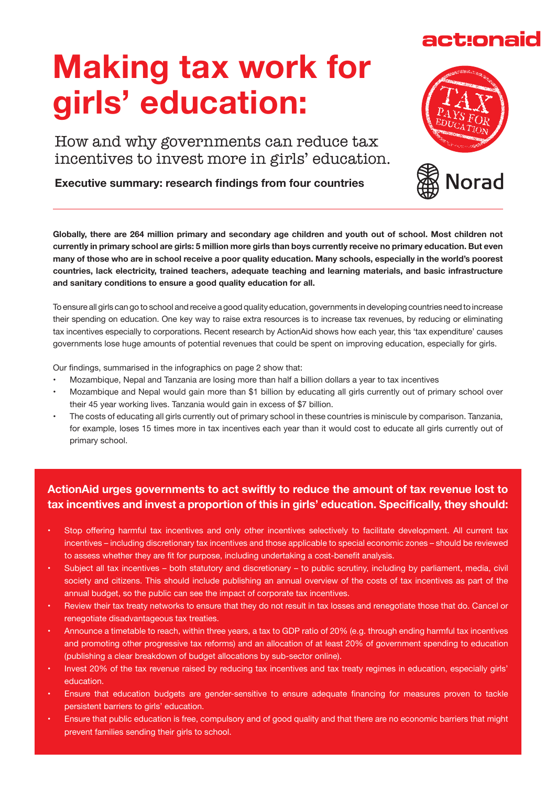## **Making tax work for girls' education:**

How and why governments can reduce tax incentives to invest more in girls' education.

**Executive summary: research findings from four countries**

**Globally, there are 264 million primary and secondary age children and youth out of school. Most children not currently in primary school are girls: 5 million more girls than boys currently receive no primary education. But even many of those who are in school receive a poor quality education. Many schools, especially in the world's poorest countries, lack electricity, trained teachers, adequate teaching and learning materials, and basic infrastructure and sanitary conditions to ensure a good quality education for all.** 

To ensure all girls can go to school and receive a good quality education, governments in developing countries need to increase their spending on education. One key way to raise extra resources is to increase tax revenues, by reducing or eliminating tax incentives especially to corporations. Recent research by ActionAid shows how each year, this 'tax expenditure' causes governments lose huge amounts of potential revenues that could be spent on improving education, especially for girls.

Our findings, summarised in the infographics on page 2 show that:

- Mozambique, Nepal and Tanzania are losing more than half a billion dollars a year to tax incentives
- Mozambique and Nepal would gain more than \$1 billion by educating all girls currently out of primary school over their 45 year working lives. Tanzania would gain in excess of \$7 billion.
- The costs of educating all girls currently out of primary school in these countries is miniscule by comparison. Tanzania, for example, loses 15 times more in tax incentives each year than it would cost to educate all girls currently out of primary school.

## **ActionAid urges governments to act swiftly to reduce the amount of tax revenue lost to tax incentives and invest a proportion of this in girls' education. Specifically, they should:**

- Stop offering harmful tax incentives and only other incentives selectively to facilitate development. All current tax incentives – including discretionary tax incentives and those applicable to special economic zones – should be reviewed to assess whether they are fit for purpose, including undertaking a cost-benefit analysis.
- Subject all tax incentives both statutory and discretionary to public scrutiny, including by parliament, media, civil society and citizens. This should include publishing an annual overview of the costs of tax incentives as part of the annual budget, so the public can see the impact of corporate tax incentives.
- Review their tax treaty networks to ensure that they do not result in tax losses and renegotiate those that do. Cancel or renegotiate disadvantageous tax treaties.
- Announce a timetable to reach, within three years, a tax to GDP ratio of 20% (e.g. through ending harmful tax incentives and promoting other progressive tax reforms) and an allocation of at least 20% of government spending to education (publishing a clear breakdown of budget allocations by sub-sector online).
- Invest 20% of the tax revenue raised by reducing tax incentives and tax treaty regimes in education, especially girls' education.
- Ensure that education budgets are gender-sensitive to ensure adequate financing for measures proven to tackle persistent barriers to girls' education.
- Ensure that public education is free, compulsory and of good quality and that there are no economic barriers that might prevent families sending their girls to school.